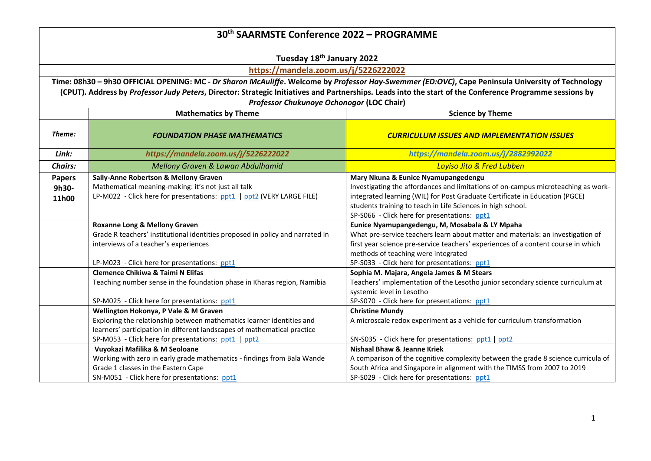|                | 30 <sup>th</sup> SAARMSTE Conference 2022 - PROGRAMME                                                                                                    |                                                                                                                                                   |
|----------------|----------------------------------------------------------------------------------------------------------------------------------------------------------|---------------------------------------------------------------------------------------------------------------------------------------------------|
|                |                                                                                                                                                          |                                                                                                                                                   |
|                | Tuesday 18 <sup>th</sup> January 2022                                                                                                                    |                                                                                                                                                   |
|                | https://mandela.zoom.us/j/5226222022                                                                                                                     |                                                                                                                                                   |
|                |                                                                                                                                                          | Time: 08h30 - 9h30 OFFICIAL OPENING: MC - Dr Sharon McAuliffe. Welcome by Professor Hay-Swemmer (ED:OVC), Cape Peninsula University of Technology |
|                | (CPUT). Address by Professor Judy Peters, Director: Strategic Initiatives and Partnerships. Leads into the start of the Conference Programme sessions by |                                                                                                                                                   |
|                | Professor Chukunoye Ochonogor (LOC Chair)                                                                                                                |                                                                                                                                                   |
|                | <b>Science by Theme</b><br><b>Mathematics by Theme</b>                                                                                                   |                                                                                                                                                   |
|                |                                                                                                                                                          |                                                                                                                                                   |
| Theme:         | <b>FOUNDATION PHASE MATHEMATICS</b>                                                                                                                      | <b>CURRICULUM ISSUES AND IMPLEMENTATION ISSUES</b>                                                                                                |
| Link:          | https://mandela.zoom.us/j/5226222022                                                                                                                     | https://mandela.zoom.us/j/2882992022                                                                                                              |
| <b>Chairs:</b> | Mellony Graven & Lawan Abdulhamid<br>Loyiso Jita & Fred Lubben                                                                                           |                                                                                                                                                   |
| <b>Papers</b>  | Sally-Anne Robertson & Mellony Graven                                                                                                                    | Mary Nkuna & Eunice Nyamupangedengu                                                                                                               |
| 9h30-          | Mathematical meaning-making: it's not just all talk                                                                                                      | Investigating the affordances and limitations of on-campus microteaching as work-                                                                 |
| 11h00          | LP-M022 - Click here for presentations: ppt1   ppt2 (VERY LARGE FILE)                                                                                    | integrated learning (WIL) for Post Graduate Certificate in Education (PGCE)                                                                       |
|                |                                                                                                                                                          | students training to teach in Life Sciences in high school.                                                                                       |
|                |                                                                                                                                                          | SP-S066 - Click here for presentations: ppt1                                                                                                      |
|                | Roxanne Long & Mellony Graven                                                                                                                            | Eunice Nyamupangedengu, M, Mosabala & LY Mpaha                                                                                                    |
|                | Grade R teachers' institutional identities proposed in policy and narrated in                                                                            | What pre-service teachers learn about matter and materials: an investigation of                                                                   |
|                | interviews of a teacher's experiences                                                                                                                    | first year science pre-service teachers' experiences of a content course in which                                                                 |
|                |                                                                                                                                                          | methods of teaching were integrated                                                                                                               |
|                | LP-M023 - Click here for presentations: ppt1                                                                                                             | SP-S033 - Click here for presentations: ppt1                                                                                                      |
|                | <b>Clemence Chikiwa &amp; Taimi N Elifas</b>                                                                                                             | Sophia M. Majara, Angela James & M Stears                                                                                                         |
|                | Teaching number sense in the foundation phase in Kharas region, Namibia                                                                                  | Teachers' implementation of the Lesotho junior secondary science curriculum at                                                                    |
|                | SP-M025 - Click here for presentations: ppt1                                                                                                             | systemic level in Lesotho<br>SP-S070 - Click here for presentations: ppt1                                                                         |
|                | Wellington Hokonya, P Vale & M Graven                                                                                                                    | <b>Christine Mundy</b>                                                                                                                            |
|                | Exploring the relationship between mathematics learner identities and                                                                                    | A microscale redox experiment as a vehicle for curriculum transformation                                                                          |
|                | learners' participation in different landscapes of mathematical practice                                                                                 |                                                                                                                                                   |
|                | SP-M053 - Click here for presentations: ppt1   ppt2                                                                                                      | SN-S035 - Click here for presentations: ppt1   ppt2                                                                                               |
|                | Vuyokazi Mafilika & M Seoloane                                                                                                                           | <b>Nishaal Bhaw &amp; Jeanne Kriek</b>                                                                                                            |
|                | Working with zero in early grade mathematics - findings from Bala Wande                                                                                  | A comparison of the cognitive complexity between the grade 8 science curricula of                                                                 |
|                | Grade 1 classes in the Eastern Cape                                                                                                                      | South Africa and Singapore in alignment with the TIMSS from 2007 to 2019                                                                          |
|                | SN-M051 - Click here for presentations: ppt1                                                                                                             | SP-S029 - Click here for presentations: ppt1                                                                                                      |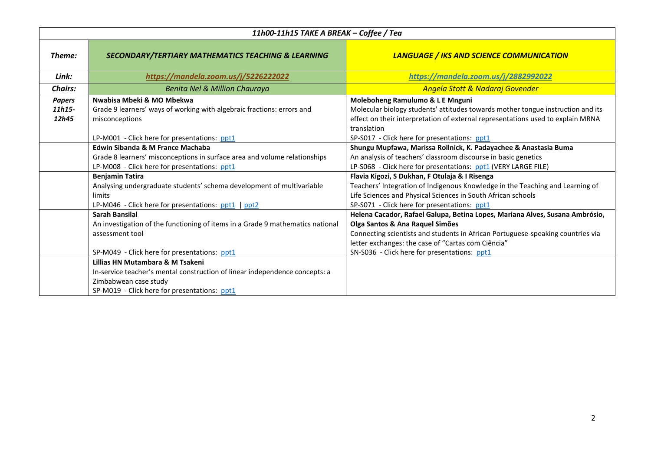| 11h00-11h15 TAKE A BREAK - Coffee / Tea |                                                                                |                                                                                 |  |
|-----------------------------------------|--------------------------------------------------------------------------------|---------------------------------------------------------------------------------|--|
| Theme:                                  | <b>SECONDARY/TERTIARY MATHEMATICS TEACHING &amp; LEARNING</b>                  | <b>LANGUAGE / IKS AND SCIENCE COMMUNICATION</b>                                 |  |
| Link:                                   | https://mandela.zoom.us/j/5226222022                                           | https://mandela.zoom.us/j/2882992022                                            |  |
| <b>Chairs:</b>                          | Benita Nel & Million Chauraya                                                  | Angela Stott & Nadaraj Govender                                                 |  |
| <b>Papers</b>                           | Nwabisa Mbeki & MO Mbekwa                                                      | Moleboheng Ramulumo & L E Mnguni                                                |  |
| 11h15-                                  | Grade 9 learners' ways of working with algebraic fractions: errors and         | Molecular biology students' attitudes towards mother tongue instruction and its |  |
| 12h45                                   | misconceptions                                                                 | effect on their interpretation of external representations used to explain MRNA |  |
|                                         |                                                                                | translation                                                                     |  |
|                                         | LP-M001 - Click here for presentations: ppt1                                   | SP-S017 - Click here for presentations: ppt1                                    |  |
|                                         | <b>Edwin Sibanda &amp; M France Machaba</b>                                    | Shungu Mupfawa, Marissa Rollnick, K. Padayachee & Anastasia Buma                |  |
|                                         | Grade 8 learners' misconceptions in surface area and volume relationships      | An analysis of teachers' classroom discourse in basic genetics                  |  |
|                                         | LP-M008 - Click here for presentations: ppt1                                   | LP-S068 - Click here for presentations: ppt1 (VERY LARGE FILE)                  |  |
|                                         | <b>Benjamin Tatira</b>                                                         | Flavia Kigozi, S Dukhan, F Otulaja & I Risenga                                  |  |
|                                         | Analysing undergraduate students' schema development of multivariable          | Teachers' Integration of Indigenous Knowledge in the Teaching and Learning of   |  |
|                                         | limits                                                                         | Life Sciences and Physical Sciences in South African schools                    |  |
|                                         | LP-M046 - Click here for presentations: ppt1   ppt2                            | SP-S071 - Click here for presentations: ppt1                                    |  |
|                                         | Sarah Bansilal                                                                 | Helena Cacador, Rafael Galupa, Betina Lopes, Mariana Alves, Susana Ambrósio,    |  |
|                                         | An investigation of the functioning of items in a Grade 9 mathematics national | Olga Santos & Ana Raquel Simões                                                 |  |
|                                         | assessment tool                                                                | Connecting scientists and students in African Portuguese-speaking countries via |  |
|                                         |                                                                                | letter exchanges: the case of "Cartas com Ciência"                              |  |
|                                         | SP-M049 - Click here for presentations: ppt1                                   | SN-S036 - Click here for presentations: ppt1                                    |  |
|                                         | Lillias HN Mutambara & M Tsakeni                                               |                                                                                 |  |
|                                         | In-service teacher's mental construction of linear independence concepts: a    |                                                                                 |  |
|                                         | Zimbabwean case study                                                          |                                                                                 |  |
|                                         | SP-M019 - Click here for presentations: ppt1                                   |                                                                                 |  |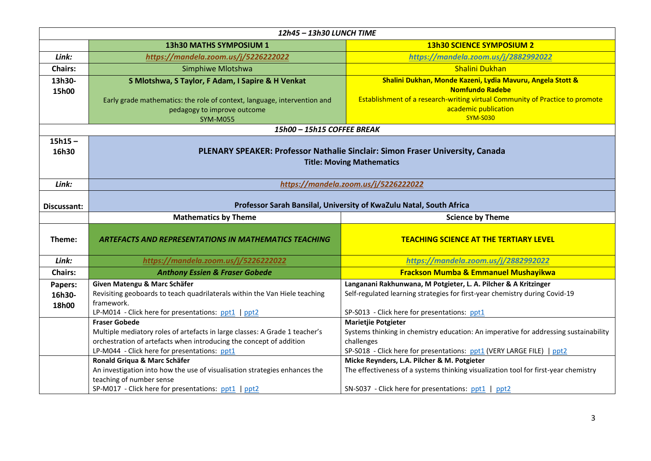| 12h45 - 13h30 LUNCH TIME |                                                                                                                   |                                                                                      |  |
|--------------------------|-------------------------------------------------------------------------------------------------------------------|--------------------------------------------------------------------------------------|--|
|                          | 13h30 MATHS SYMPOSIUM 1                                                                                           | <b>13h30 SCIENCE SYMPOSIUM 2</b>                                                     |  |
| Link:                    | https://mandela.zoom.us/j/5226222022                                                                              | https://mandela.zoom.us/j/2882992022                                                 |  |
| <b>Chairs:</b>           | Simphiwe Mlotshwa                                                                                                 | <b>Shalini Dukhan</b>                                                                |  |
| 13h30-                   | S Mlotshwa, S Taylor, F Adam, I Sapire & H Venkat                                                                 | Shalini Dukhan, Monde Kazeni, Lydia Mavuru, Angela Stott &                           |  |
| 15h00                    |                                                                                                                   | <b>Nomfundo Radebe</b>                                                               |  |
|                          | Early grade mathematics: the role of context, language, intervention and                                          | Establishment of a research-writing virtual Community of Practice to promote         |  |
|                          | pedagogy to improve outcome                                                                                       | academic publication                                                                 |  |
|                          | <b>SYM-M055</b>                                                                                                   | <b>SYM-S030</b>                                                                      |  |
|                          | 15h00 - 15h15 COFFEE BREAK                                                                                        |                                                                                      |  |
| $15h15 -$<br>16h30       | PLENARY SPEAKER: Professor Nathalie Sinclair: Simon Fraser University, Canada<br><b>Title: Moving Mathematics</b> |                                                                                      |  |
| Link:                    | https://mandela.zoom.us/j/5226222022                                                                              |                                                                                      |  |
| Discussant:              | Professor Sarah Bansilal, University of KwaZulu Natal, South Africa                                               |                                                                                      |  |
|                          | <b>Mathematics by Theme</b><br><b>Science by Theme</b>                                                            |                                                                                      |  |
|                          |                                                                                                                   |                                                                                      |  |
| Theme:                   | <b>ARTEFACTS AND REPRESENTATIONS IN MATHEMATICS TEACHING</b>                                                      | <b>TEACHING SCIENCE AT THE TERTIARY LEVEL</b>                                        |  |
| Link:                    | https://mandela.zoom.us/j/5226222022                                                                              | https://mandela.zoom.us/j/2882992022                                                 |  |
| <b>Chairs:</b>           | <b>Anthony Essien &amp; Fraser Gobede</b>                                                                         | <b>Frackson Mumba &amp; Emmanuel Mushayikwa</b>                                      |  |
| Papers:                  | Given Matengu & Marc Schäfer                                                                                      | Langanani Rakhunwana, M Potgieter, L. A. Pilcher & A Kritzinger                      |  |
| 16h30-                   | Revisiting geoboards to teach quadrilaterals within the Van Hiele teaching                                        | Self-regulated learning strategies for first-year chemistry during Covid-19          |  |
| 18h00                    | framework.                                                                                                        |                                                                                      |  |
|                          | LP-M014 - Click here for presentations: ppt1   ppt2                                                               | SP-S013 - Click here for presentations: ppt1                                         |  |
|                          | <b>Fraser Gobede</b>                                                                                              | <b>Marietjie Potgieter</b>                                                           |  |
|                          | Multiple mediatory roles of artefacts in large classes: A Grade 1 teacher's                                       | Systems thinking in chemistry education: An imperative for addressing sustainability |  |
|                          | orchestration of artefacts when introducing the concept of addition                                               | challenges                                                                           |  |
|                          | LP-M044 - Click here for presentations: ppt1                                                                      | SP-S018 - Click here for presentations: ppt1 (VERY LARGE FILE)   ppt2                |  |
|                          | Ronald Griqua & Marc Schäfer                                                                                      | Micke Reynders, L.A. Pilcher & M. Potgieter                                          |  |
|                          | An investigation into how the use of visualisation strategies enhances the<br>teaching of number sense            | The effectiveness of a systems thinking visualization tool for first-year chemistry  |  |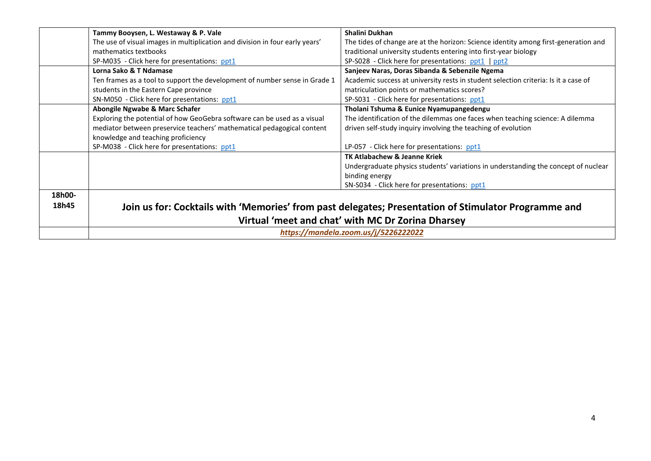|        | Tammy Booysen, L. Westaway & P. Vale                                         | Shalini Dukhan                                                                                       |
|--------|------------------------------------------------------------------------------|------------------------------------------------------------------------------------------------------|
|        | The use of visual images in multiplication and division in four early years' | The tides of change are at the horizon: Science identity among first-generation and                  |
|        | mathematics textbooks                                                        | traditional university students entering into first-year biology                                     |
|        | SP-M035 - Click here for presentations: ppt1                                 | SP-S028 - Click here for presentations: ppt1   ppt2                                                  |
|        | Lorna Sako & T Ndamase                                                       | Sanjeev Naras, Doras Sibanda & Sebenzile Ngema                                                       |
|        | Ten frames as a tool to support the development of number sense in Grade 1   | Academic success at university rests in student selection criteria: Is it a case of                  |
|        | students in the Eastern Cape province                                        | matriculation points or mathematics scores?                                                          |
|        | SN-M050 - Click here for presentations: ppt1                                 | SP-S031 - Click here for presentations: ppt1                                                         |
|        | Abongile Ngwabe & Marc Schafer                                               | Tholani Tshuma & Eunice Nyamupangedengu                                                              |
|        | Exploring the potential of how GeoGebra software can be used as a visual     | The identification of the dilemmas one faces when teaching science: A dilemma                        |
|        | mediator between preservice teachers' mathematical pedagogical content       | driven self-study inquiry involving the teaching of evolution                                        |
|        | knowledge and teaching proficiency                                           |                                                                                                      |
|        | SP-M038 - Click here for presentations: ppt1                                 | LP-057 - Click here for presentations: ppt1                                                          |
|        |                                                                              | <b>TK Atlabachew &amp; Jeanne Kriek</b>                                                              |
|        |                                                                              | Undergraduate physics students' variations in understanding the concept of nuclear                   |
|        |                                                                              | binding energy                                                                                       |
|        |                                                                              | SN-S034 - Click here for presentations: ppt1                                                         |
| 18h00- |                                                                              |                                                                                                      |
| 18h45  |                                                                              | Join us for: Cocktails with 'Memories' from past delegates; Presentation of Stimulator Programme and |
|        |                                                                              |                                                                                                      |
|        |                                                                              | Virtual 'meet and chat' with MC Dr Zorina Dharsey                                                    |
|        | https://mandela.zoom.us/j/5226222022                                         |                                                                                                      |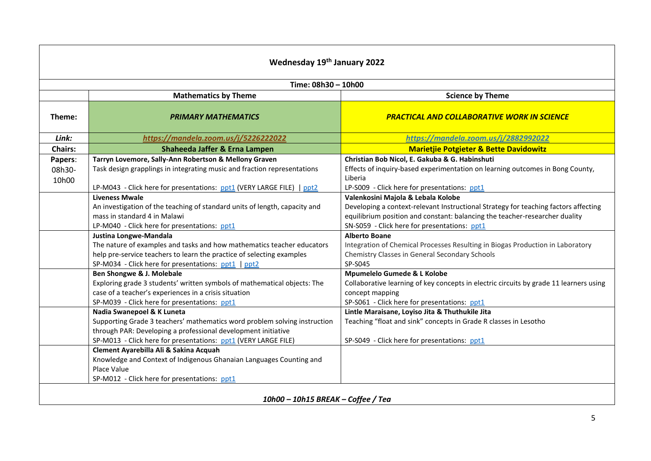| Wednesday 19th January 2022        |                                                                                                          |                                                                                          |  |  |
|------------------------------------|----------------------------------------------------------------------------------------------------------|------------------------------------------------------------------------------------------|--|--|
|                                    | Time: 08h30 - 10h00                                                                                      |                                                                                          |  |  |
|                                    | <b>Mathematics by Theme</b>                                                                              | <b>Science by Theme</b>                                                                  |  |  |
| Theme:                             | <b>PRIMARY MATHEMATICS</b>                                                                               | <b>PRACTICAL AND COLLABORATIVE WORK IN SCIENCE</b>                                       |  |  |
| Link:                              | https://mandela.zoom.us/j/5226222022                                                                     | https://mandela.zoom.us/j/2882992022                                                     |  |  |
| <b>Chairs:</b>                     | Shaheeda Jaffer & Erna Lampen                                                                            | <b>Marietjie Potgieter &amp; Bette Davidowitz</b>                                        |  |  |
| Papers:                            | Tarryn Lovemore, Sally-Ann Robertson & Mellony Graven                                                    | Christian Bob Nicol, E. Gakuba & G. Habinshuti                                           |  |  |
| 08h30-<br>10h00                    | Task design grapplings in integrating music and fraction representations                                 | Effects of inquiry-based experimentation on learning outcomes in Bong County,<br>Liberia |  |  |
|                                    | LP-M043 - Click here for presentations: ppt1 (VERY LARGE FILE)   ppt2                                    | LP-S009 - Click here for presentations: ppt1                                             |  |  |
|                                    | <b>Liveness Mwale</b>                                                                                    | Valenkosini Majola & Lebala Kolobe                                                       |  |  |
|                                    | An investigation of the teaching of standard units of length, capacity and                               | Developing a context-relevant Instructional Strategy for teaching factors affecting      |  |  |
|                                    | mass in standard 4 in Malawi                                                                             | equilibrium position and constant: balancing the teacher-researcher duality              |  |  |
|                                    | LP-M040 - Click here for presentations: ppt1                                                             | SN-S059 - Click here for presentations: ppt1                                             |  |  |
|                                    | Justina Longwe-Mandala                                                                                   | <b>Alberto Boane</b>                                                                     |  |  |
|                                    | The nature of examples and tasks and how mathematics teacher educators                                   | Integration of Chemical Processes Resulting in Biogas Production in Laboratory           |  |  |
|                                    | help pre-service teachers to learn the practice of selecting examples                                    | Chemistry Classes in General Secondary Schools                                           |  |  |
|                                    | SP-M034 - Click here for presentations: ppt1   ppt2                                                      | SP-S045                                                                                  |  |  |
|                                    | Ben Shongwe & J. Molebale                                                                                | Mpumelelo Gumede & L Kolobe                                                              |  |  |
|                                    | Exploring grade 3 students' written symbols of mathematical objects: The                                 | Collaborative learning of key concepts in electric circuits by grade 11 learners using   |  |  |
|                                    | case of a teacher's experiences in a crisis situation                                                    | concept mapping                                                                          |  |  |
|                                    | SP-M039 - Click here for presentations: ppt1                                                             | SP-S061 - Click here for presentations: ppt1                                             |  |  |
|                                    | Nadia Swanepoel & K Luneta                                                                               | Lintle Maraisane, Loyiso Jita & Thuthukile Jita                                          |  |  |
|                                    | Supporting Grade 3 teachers' mathematics word problem solving instruction                                | Teaching "float and sink" concepts in Grade R classes in Lesotho                         |  |  |
|                                    | through PAR: Developing a professional development initiative                                            |                                                                                          |  |  |
|                                    | SP-M013 - Click here for presentations: ppt1 (VERY LARGE FILE)<br>Clement Ayarebilla Ali & Sakina Acquah | SP-S049 - Click here for presentations: ppt1                                             |  |  |
|                                    | Knowledge and Context of Indigenous Ghanaian Languages Counting and                                      |                                                                                          |  |  |
|                                    | Place Value                                                                                              |                                                                                          |  |  |
|                                    | SP-M012 - Click here for presentations: ppt1                                                             |                                                                                          |  |  |
|                                    |                                                                                                          |                                                                                          |  |  |
| 10h00 - 10h15 BREAK - Coffee / Tea |                                                                                                          |                                                                                          |  |  |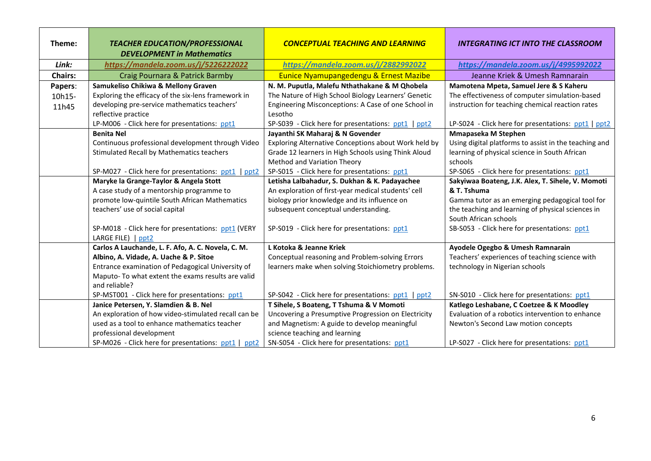| Theme:         | <b>TEACHER EDUCATION/PROFESSIONAL</b>                              | <b>CONCEPTUAL TEACHING AND LEARNING</b>              | <b>INTEGRATING ICT INTO THE CLASSROOM</b>             |
|----------------|--------------------------------------------------------------------|------------------------------------------------------|-------------------------------------------------------|
|                | <b>DEVELOPMENT in Mathematics</b>                                  |                                                      |                                                       |
| Link:          | https://mandela.zoom.us/j/5226222022                               | https://mandela.zoom.us/j/2882992022                 | https://mandela.zoom.us/j/4995992022                  |
| <b>Chairs:</b> | Craig Pournara & Patrick Barmby                                    | <b>Eunice Nyamupangedengu &amp; Ernest Mazibe</b>    | Jeanne Kriek & Umesh Ramnarain                        |
| Papers:        | Samukeliso Chikiwa & Mellony Graven                                | N. M. Puputla, Malefu Nthathakane & M Qhobela        | Mamotena Mpeta, Samuel Jere & S Kaheru                |
| 10h15-         | Exploring the efficacy of the six-lens framework in                | The Nature of High School Biology Learners' Genetic  | The effectiveness of computer simulation-based        |
| 11h45          | developing pre-service mathematics teachers'                       | Engineering Misconceptions: A Case of one School in  | instruction for teaching chemical reaction rates      |
|                | reflective practice                                                | Lesotho                                              |                                                       |
|                | LP-M006 - Click here for presentations: ppt1                       | SP-S039 - Click here for presentations: ppt1   ppt2  | LP-S024 - Click here for presentations: ppt1   ppt2   |
|                | <b>Benita Nel</b>                                                  | Jayanthi SK Maharaj & N Govender                     | Mmapaseka M Stephen                                   |
|                | Continuous professional development through Video                  | Exploring Alternative Conceptions about Work held by | Using digital platforms to assist in the teaching and |
|                | Stimulated Recall by Mathematics teachers                          | Grade 12 learners in High Schools using Think Aloud  | learning of physical science in South African         |
|                |                                                                    | Method and Variation Theory                          | schools                                               |
|                | SP-M027 - Click here for presentations: ppt1<br>ppt <sub>2</sub>   | SP-S015 - Click here for presentations: ppt1         | SP-S065 - Click here for presentations: ppt1          |
|                | Maryke la Grange-Taylor & Angela Stott                             | Letisha Lalbahadur, S. Dukhan & K. Padayachee        | Sakyiwaa Boateng, J.K. Alex, T. Sihele, V. Momoti     |
|                | A case study of a mentorship programme to                          | An exploration of first-year medical students' cell  | & T. Tshuma                                           |
|                | promote low-quintile South African Mathematics                     | biology prior knowledge and its influence on         | Gamma tutor as an emerging pedagogical tool for       |
|                | teachers' use of social capital                                    | subsequent conceptual understanding.                 | the teaching and learning of physical sciences in     |
|                |                                                                    |                                                      | South African schools                                 |
|                | SP-M018 - Click here for presentations: ppt1 (VERY                 | SP-S019 - Click here for presentations: ppt1         | SB-S053 - Click here for presentations: ppt1          |
|                | LARGE FILE)   ppt2                                                 |                                                      |                                                       |
|                | Carlos A Lauchande, L. F. Afo, A. C. Novela, C. M.                 | L Kotoka & Jeanne Kriek                              | Ayodele Ogegbo & Umesh Ramnarain                      |
|                | Albino, A. Vidade, A. Uache & P. Sitoe                             | Conceptual reasoning and Problem-solving Errors      | Teachers' experiences of teaching science with        |
|                | Entrance examination of Pedagogical University of                  | learners make when solving Stoichiometry problems.   | technology in Nigerian schools                        |
|                | Maputo- To what extent the exams results are valid                 |                                                      |                                                       |
|                | and reliable?                                                      |                                                      |                                                       |
|                | SP-MST001 - Click here for presentations: ppt1                     | SP-S042 - Click here for presentations: ppt1   ppt2  | SN-S010 - Click here for presentations: ppt1          |
|                | Janice Petersen, Y. Slamdien & B. Nel                              | T Sihele, S Boateng, T Tshuma & V Momoti             | Katlego Leshabane, C Coetzee & K Moodley              |
|                | An exploration of how video-stimulated recall can be               | Uncovering a Presumptive Progression on Electricity  | Evaluation of a robotics intervention to enhance      |
|                | used as a tool to enhance mathematics teacher                      | and Magnetism: A guide to develop meaningful         | Newton's Second Law motion concepts                   |
|                | professional development                                           | science teaching and learning                        |                                                       |
|                | SP-M026 - Click here for presentations: ppt1  <br>ppt <sub>2</sub> | SN-S054 - Click here for presentations: ppt1         | LP-S027 - Click here for presentations: ppt1          |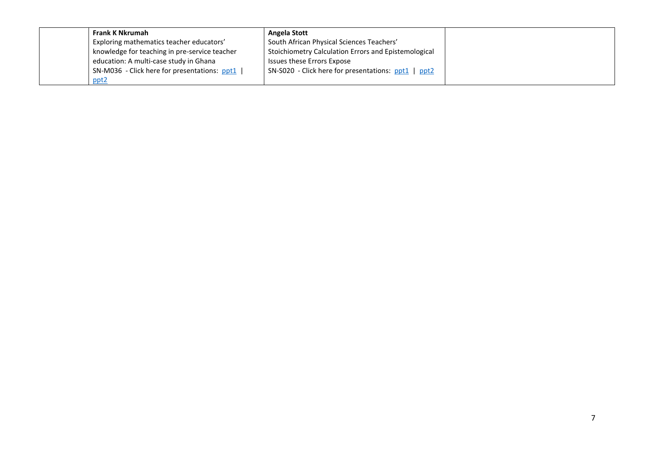| Frank K Nkrumah                               | Angela Stott                                         |  |
|-----------------------------------------------|------------------------------------------------------|--|
| Exploring mathematics teacher educators'      | South African Physical Sciences Teachers'            |  |
| knowledge for teaching in pre-service teacher | Stoichiometry Calculation Errors and Epistemological |  |
| education: A multi-case study in Ghana        | Issues these Errors Expose                           |  |
| SN-M036 - Click here for presentations: ppt1  | SN-S020 - Click here for presentations: ppt1   ppt2  |  |
| ppt <sub>2</sub>                              |                                                      |  |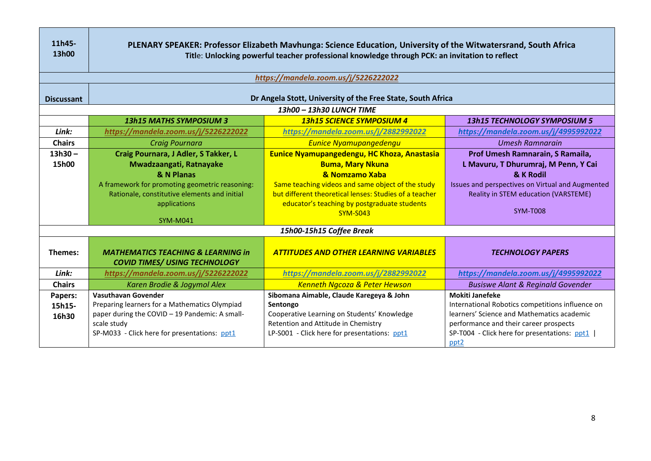| 11h45-<br>13h00   | PLENARY SPEAKER: Professor Elizabeth Mavhunga: Science Education, University of the Witwatersrand, South Africa<br>Title: Unlocking powerful teacher professional knowledge through PCK: an invitation to reflect |                                                                 |                                                  |  |
|-------------------|-------------------------------------------------------------------------------------------------------------------------------------------------------------------------------------------------------------------|-----------------------------------------------------------------|--------------------------------------------------|--|
|                   |                                                                                                                                                                                                                   | https://mandela.zoom.us/j/5226222022                            |                                                  |  |
| <b>Discussant</b> |                                                                                                                                                                                                                   | Dr Angela Stott, University of the Free State, South Africa     |                                                  |  |
|                   |                                                                                                                                                                                                                   | 13h00 - 13h30 LUNCH TIME                                        |                                                  |  |
|                   | <b>13h15 MATHS SYMPOSIUM 3</b>                                                                                                                                                                                    | <b>13h15 SCIENCE SYMPOSIUM 4</b>                                | <b>13h15 TECHNOLOGY SYMPOSIUM 5</b>              |  |
| Link:             | https://mandela.zoom.us/j/5226222022                                                                                                                                                                              | https://mandela.zoom.us/j/2882992022                            | https://mandela.zoom.us/j/4995992022             |  |
| <b>Chairs</b>     | <b>Craig Pournara</b>                                                                                                                                                                                             | <b>Eunice Nyamupangedengu</b>                                   | <b>Umesh Ramnarain</b>                           |  |
| $13h30 -$         | Craig Pournara, J Adler, S Takker, L                                                                                                                                                                              | <b>Eunice Nyamupangedengu, HC Khoza, Anastasia</b>              | Prof Umesh Ramnarain, S Ramaila,                 |  |
| 15h00             | Mwadzaangati, Ratnayake                                                                                                                                                                                           | <b>Buma, Mary Nkuna</b>                                         | L Mavuru, T Dhurumraj, M Penn, Y Cai             |  |
|                   | & N Planas                                                                                                                                                                                                        | & Nomzamo Xaba                                                  | & K Rodil                                        |  |
|                   | A framework for promoting geometric reasoning:                                                                                                                                                                    | Same teaching videos and same object of the study               | Issues and perspectives on Virtual and Augmented |  |
|                   | Rationale, constitutive elements and initial                                                                                                                                                                      | but different theoretical lenses: Studies of a teacher          | Reality in STEM education (VARSTEME)             |  |
|                   | applications                                                                                                                                                                                                      | educator's teaching by postgraduate students<br><b>SYM-S043</b> | <b>SYM-T008</b>                                  |  |
|                   | <b>SYM-M041</b>                                                                                                                                                                                                   |                                                                 |                                                  |  |
|                   |                                                                                                                                                                                                                   | 15h00-15h15 Coffee Break                                        |                                                  |  |
| Themes:           | <b>MATHEMATICS TEACHING &amp; LEARNING in</b><br><b>COVID TIMES/ USING TECHNOLOGY</b>                                                                                                                             | <b>ATTITUDES AND OTHER LEARNING VARIABLES</b>                   | <b>TECHNOLOGY PAPERS</b>                         |  |
| Link:             | https://mandela.zoom.us/j/5226222022                                                                                                                                                                              | https://mandela.zoom.us/j/2882992022                            | https://mandela.zoom.us/j/4995992022             |  |
| <b>Chairs</b>     | Karen Brodie & Jogymol Alex                                                                                                                                                                                       | <b>Kenneth Ngcoza &amp; Peter Hewson</b>                        | <b>Busiswe Alant &amp; Reginald Govender</b>     |  |
| Papers:           | <b>Vasuthavan Govender</b>                                                                                                                                                                                        | Sibomana Aimable, Claude Karegeya & John                        | <b>Mokiti Janefeke</b>                           |  |
| 15h15-            | Preparing learners for a Mathematics Olympiad                                                                                                                                                                     | Sentongo                                                        | International Robotics competitions influence on |  |
| 16h30             | paper during the COVID - 19 Pandemic: A small-                                                                                                                                                                    | Cooperative Learning on Students' Knowledge                     | learners' Science and Mathematics academic       |  |
|                   | scale study                                                                                                                                                                                                       | Retention and Attitude in Chemistry                             | performance and their career prospects           |  |
|                   | SP-M033 - Click here for presentations: ppt1                                                                                                                                                                      | LP-S001 - Click here for presentations: ppt1                    | SP-T004 - Click here for presentations: ppt1     |  |
|                   |                                                                                                                                                                                                                   |                                                                 | ppt <sub>2</sub>                                 |  |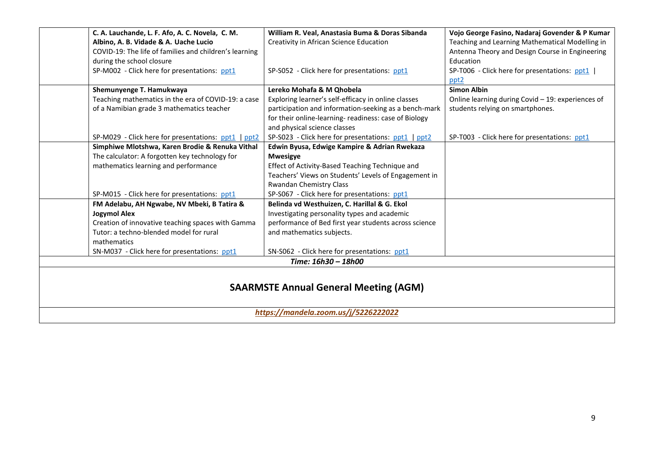|                                              | C. A. Lauchande, L. F. Afo, A. C. Novela, C. M.        | William R. Veal, Anastasia Buma & Doras Sibanda       | Vojo George Fasino, Nadaraj Govender & P Kumar    |  |
|----------------------------------------------|--------------------------------------------------------|-------------------------------------------------------|---------------------------------------------------|--|
|                                              | Albino, A. B. Vidade & A. Uache Lucio                  | Creativity in African Science Education               | Teaching and Learning Mathematical Modelling in   |  |
|                                              | COVID-19: The life of families and children's learning |                                                       | Antenna Theory and Design Course in Engineering   |  |
|                                              | during the school closure                              |                                                       | Education                                         |  |
|                                              | SP-M002 - Click here for presentations: ppt1           | SP-S052 - Click here for presentations: ppt1          | SP-T006 - Click here for presentations: ppt1      |  |
|                                              |                                                        |                                                       | ppt <sub>2</sub>                                  |  |
|                                              | Shemunyenge T. Hamukwaya                               | Lereko Mohafa & M Qhobela                             | <b>Simon Albin</b>                                |  |
|                                              | Teaching mathematics in the era of COVID-19: a case    | Exploring learner's self-efficacy in online classes   | Online learning during Covid - 19: experiences of |  |
|                                              | of a Namibian grade 3 mathematics teacher              | participation and information-seeking as a bench-mark | students relying on smartphones.                  |  |
|                                              |                                                        | for their online-learning- readiness: case of Biology |                                                   |  |
|                                              |                                                        | and physical science classes                          |                                                   |  |
|                                              | SP-M029 - Click here for presentations: ppt1   ppt2    | SP-S023 - Click here for presentations: ppt1   ppt2   | SP-T003 - Click here for presentations: ppt1      |  |
|                                              | Simphiwe Mlotshwa, Karen Brodie & Renuka Vithal        | Edwin Byusa, Edwige Kampire & Adrian Rwekaza          |                                                   |  |
|                                              | The calculator: A forgotten key technology for         | <b>Mwesigye</b>                                       |                                                   |  |
|                                              | mathematics learning and performance                   | Effect of Activity-Based Teaching Technique and       |                                                   |  |
|                                              |                                                        | Teachers' Views on Students' Levels of Engagement in  |                                                   |  |
|                                              |                                                        | Rwandan Chemistry Class                               |                                                   |  |
|                                              | SP-M015 - Click here for presentations: ppt1           | SP-S067 - Click here for presentations: ppt1          |                                                   |  |
|                                              | FM Adelabu, AH Ngwabe, NV Mbeki, B Tatira &            | Belinda vd Westhuizen, C. Harillal & G. Ekol          |                                                   |  |
|                                              | <b>Jogymol Alex</b>                                    | Investigating personality types and academic          |                                                   |  |
|                                              | Creation of innovative teaching spaces with Gamma      | performance of Bed first year students across science |                                                   |  |
|                                              | Tutor: a techno-blended model for rural                | and mathematics subjects.                             |                                                   |  |
|                                              | mathematics                                            |                                                       |                                                   |  |
|                                              | SN-M037 - Click here for presentations: ppt1           | SN-S062 - Click here for presentations: ppt1          |                                                   |  |
| Time: 16h30 - 18h00                          |                                                        |                                                       |                                                   |  |
|                                              |                                                        |                                                       |                                                   |  |
|                                              |                                                        |                                                       |                                                   |  |
| <b>SAARMSTE Annual General Meeting (AGM)</b> |                                                        |                                                       |                                                   |  |
|                                              |                                                        |                                                       |                                                   |  |
| https://mandela.zoom.us/j/5226222022         |                                                        |                                                       |                                                   |  |
|                                              |                                                        |                                                       |                                                   |  |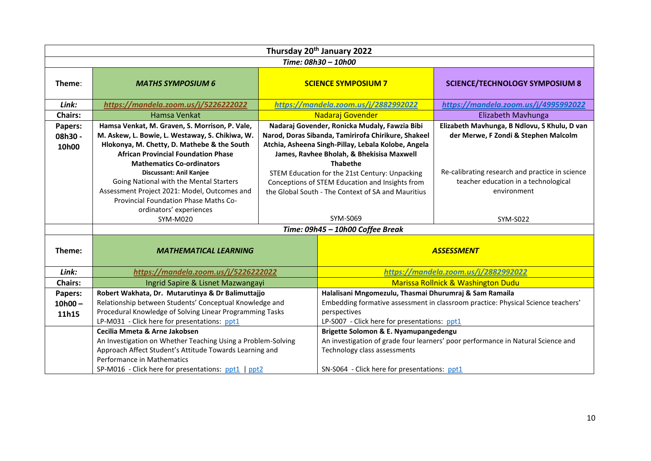| Thursday 20 <sup>th</sup> January 2022 |                                                                                                                                                                                                                                               |                                                                                                                                                                                                                             |                                                                                                                                                         |                                                                                                        |
|----------------------------------------|-----------------------------------------------------------------------------------------------------------------------------------------------------------------------------------------------------------------------------------------------|-----------------------------------------------------------------------------------------------------------------------------------------------------------------------------------------------------------------------------|---------------------------------------------------------------------------------------------------------------------------------------------------------|--------------------------------------------------------------------------------------------------------|
| Time: 08h30 - 10h00                    |                                                                                                                                                                                                                                               |                                                                                                                                                                                                                             |                                                                                                                                                         |                                                                                                        |
| Theme:                                 | <b>MATHS SYMPOSIUM 6</b>                                                                                                                                                                                                                      |                                                                                                                                                                                                                             | <b>SCIENCE SYMPOSIUM 7</b>                                                                                                                              | <b>SCIENCE/TECHNOLOGY SYMPOSIUM 8</b>                                                                  |
| Link:                                  | https://mandela.zoom.us/j/5226222022                                                                                                                                                                                                          |                                                                                                                                                                                                                             | https://mandela.zoom.us/j/2882992022                                                                                                                    | https://mandela.zoom.us/j/4995992022                                                                   |
| <b>Chairs:</b>                         | Hamsa Venkat                                                                                                                                                                                                                                  |                                                                                                                                                                                                                             | Nadaraj Govender                                                                                                                                        | Elizabeth Mavhunga                                                                                     |
| Papers:<br>08h30 -<br>10h00            | Hamsa Venkat, M. Graven, S. Morrison, P. Vale,<br>M. Askew, L. Bowie, L. Westaway, S. Chikiwa, W.<br>Hlokonya, M. Chetty, D. Mathebe & the South<br><b>African Provincial Foundation Phase</b><br><b>Mathematics Co-ordinators</b>            | Nadaraj Govender, Ronicka Mudaly, Fawzia Bibi<br>Narod, Doras Sibanda, Tamirirofa Chirikure, Shakeel<br>Atchia, Asheena Singh-Pillay, Lebala Kolobe, Angela<br>James, Ravhee Bholah, & Bhekisisa Maxwell<br><b>Thabethe</b> |                                                                                                                                                         | Elizabeth Mavhunga, B Ndlovu, S Khulu, D van<br>der Merwe, F Zondi & Stephen Malcolm                   |
|                                        | Discussant: Anil Kanjee<br>Going National with the Mental Starters<br>Assessment Project 2021: Model, Outcomes and<br>Provincial Foundation Phase Maths Co-<br>ordinators' experiences                                                        |                                                                                                                                                                                                                             | STEM Education for the 21st Century: Unpacking<br>Conceptions of STEM Education and Insights from<br>the Global South - The Context of SA and Mauritius | Re-calibrating research and practice in science<br>teacher education in a technological<br>environment |
|                                        | SYM-M020                                                                                                                                                                                                                                      |                                                                                                                                                                                                                             | SYM-S069                                                                                                                                                | SYM-S022                                                                                               |
|                                        | Time: 09h45 - 10h00 Coffee Break                                                                                                                                                                                                              |                                                                                                                                                                                                                             |                                                                                                                                                         |                                                                                                        |
| Theme:                                 | <b>MATHEMATICAL LEARNING</b>                                                                                                                                                                                                                  |                                                                                                                                                                                                                             |                                                                                                                                                         | <b>ASSESSMENT</b>                                                                                      |
| Link:                                  | https://mandela.zoom.us/j/5226222022                                                                                                                                                                                                          |                                                                                                                                                                                                                             |                                                                                                                                                         | https://mandela.zoom.us/j/2882992022                                                                   |
| <b>Chairs:</b>                         | Ingrid Sapire & Lisnet Mazwangayi                                                                                                                                                                                                             |                                                                                                                                                                                                                             |                                                                                                                                                         | <b>Marissa Rollnick &amp; Washington Dudu</b>                                                          |
| Papers:<br>$10h00 -$<br>11h15          | Robert Wakhata, Dr. Mutarutinya & Dr Balimuttajjo<br>Relationship between Students' Conceptual Knowledge and<br>Procedural Knowledge of Solving Linear Programming Tasks<br>LP-M031 - Click here for presentations: ppt1                      |                                                                                                                                                                                                                             | Halalisani Mngomezulu, Thasmai Dhurumraj & Sam Ramaila<br>perspectives<br>LP-S007 - Click here for presentations: ppt1                                  | Embedding formative assessment in classroom practice: Physical Science teachers'                       |
|                                        | Cecilia Mmeta & Arne Jakobsen<br>An Investigation on Whether Teaching Using a Problem-Solving<br>Approach Affect Student's Attitude Towards Learning and<br>Performance in Mathematics<br>SP-M016 - Click here for presentations: ppt1   ppt2 |                                                                                                                                                                                                                             | Brigette Solomon & E. Nyamupangedengu<br>Technology class assessments<br>SN-S064 - Click here for presentations: ppt1                                   | An investigation of grade four learners' poor performance in Natural Science and                       |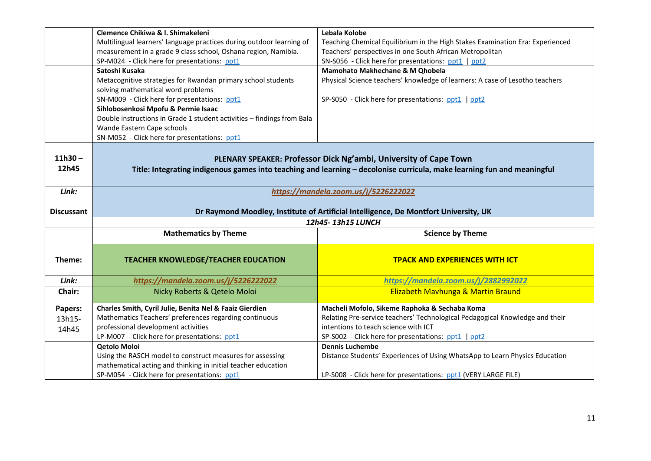|                    | Clemence Chikiwa & I. Shimakeleni                                                    | Lebala Kolobe                                                                                                                                                                               |
|--------------------|--------------------------------------------------------------------------------------|---------------------------------------------------------------------------------------------------------------------------------------------------------------------------------------------|
|                    | Multilingual learners' language practices during outdoor learning of                 | Teaching Chemical Equilibrium in the High Stakes Examination Era: Experienced                                                                                                               |
|                    | measurement in a grade 9 class school, Oshana region, Namibia.                       | Teachers' perspectives in one South African Metropolitan                                                                                                                                    |
|                    | SP-M024 - Click here for presentations: ppt1                                         | SN-S056 - Click here for presentations: ppt1   ppt2                                                                                                                                         |
|                    | Satoshi Kusaka                                                                       | Mamohato Makhechane & M Qhobela                                                                                                                                                             |
|                    | Metacognitive strategies for Rwandan primary school students                         | Physical Science teachers' knowledge of learners: A case of Lesotho teachers                                                                                                                |
|                    | solving mathematical word problems                                                   |                                                                                                                                                                                             |
|                    | SN-M009 - Click here for presentations: ppt1                                         | SP-S050 - Click here for presentations: ppt1   ppt2                                                                                                                                         |
|                    | Sihlobosenkosi Mpofu & Permie Isaac                                                  |                                                                                                                                                                                             |
|                    | Double instructions in Grade 1 student activities - findings from Bala               |                                                                                                                                                                                             |
|                    | Wande Eastern Cape schools                                                           |                                                                                                                                                                                             |
|                    | SN-M052 - Click here for presentations: ppt1                                         |                                                                                                                                                                                             |
| $11h30 -$<br>12h45 |                                                                                      | PLENARY SPEAKER: Professor Dick Ng'ambi, University of Cape Town<br>Title: Integrating indigenous games into teaching and learning - decolonise curricula, make learning fun and meaningful |
|                    |                                                                                      |                                                                                                                                                                                             |
| Link:              | https://mandela.zoom.us/j/5226222022                                                 |                                                                                                                                                                                             |
| <b>Discussant</b>  | Dr Raymond Moodley, Institute of Artificial Intelligence, De Montfort University, UK |                                                                                                                                                                                             |
|                    | 12h45-13h15 LUNCH                                                                    |                                                                                                                                                                                             |
|                    | <b>Mathematics by Theme</b>                                                          | <b>Science by Theme</b>                                                                                                                                                                     |
|                    |                                                                                      |                                                                                                                                                                                             |
| Theme:             | <b>TEACHER KNOWLEDGE/TEACHER EDUCATION</b>                                           | <b>TPACK AND EXPERIENCES WITH ICT</b>                                                                                                                                                       |
|                    |                                                                                      |                                                                                                                                                                                             |
| Link:              |                                                                                      |                                                                                                                                                                                             |
|                    | https://mandela.zoom.us/j/5226222022                                                 | https://mandela.zoom.us/j/2882992022                                                                                                                                                        |
| Chair:             | Nicky Roberts & Qetelo Moloi                                                         | <b>Elizabeth Mavhunga &amp; Martin Braund</b>                                                                                                                                               |
| Papers:            | Charles Smith, Cyril Julie, Benita Nel & Faaiz Gierdien                              | Macheli Mofolo, Sikeme Raphoka & Sechaba Koma                                                                                                                                               |
| 13h15-             | Mathematics Teachers' preferences regarding continuous                               | Relating Pre-service teachers' Technological Pedagogical Knowledge and their                                                                                                                |
|                    | professional development activities                                                  | intentions to teach science with ICT                                                                                                                                                        |
| 14h45              | LP-M007 - Click here for presentations: ppt1                                         | SP-S002 - Click here for presentations: ppt1   ppt2                                                                                                                                         |
|                    | <b>Qetolo Moloi</b>                                                                  | <b>Dennis Luchembe</b>                                                                                                                                                                      |
|                    | Using the RASCH model to construct measures for assessing                            | Distance Students' Experiences of Using WhatsApp to Learn Physics Education                                                                                                                 |
|                    | mathematical acting and thinking in initial teacher education                        |                                                                                                                                                                                             |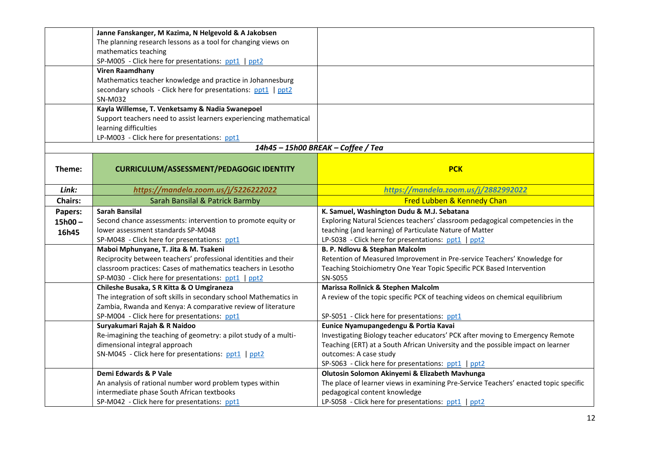|                | Janne Fanskanger, M Kazima, N Helgevold & A Jakobsen               |                                                                                      |
|----------------|--------------------------------------------------------------------|--------------------------------------------------------------------------------------|
|                | The planning research lessons as a tool for changing views on      |                                                                                      |
|                | mathematics teaching                                               |                                                                                      |
|                | SP-M005 - Click here for presentations: ppt1   ppt2                |                                                                                      |
|                | <b>Viren Raamdhany</b>                                             |                                                                                      |
|                | Mathematics teacher knowledge and practice in Johannesburg         |                                                                                      |
|                | secondary schools - Click here for presentations: ppt1   ppt2      |                                                                                      |
|                | SN-M032                                                            |                                                                                      |
|                | Kayla Willemse, T. Venketsamy & Nadia Swanepoel                    |                                                                                      |
|                | Support teachers need to assist learners experiencing mathematical |                                                                                      |
|                | learning difficulties                                              |                                                                                      |
|                | LP-M003 - Click here for presentations: ppt1                       |                                                                                      |
|                |                                                                    | 14h45 - 15h00 BREAK - Coffee / Tea                                                   |
|                |                                                                    |                                                                                      |
| Theme:         | <b>CURRICULUM/ASSESSMENT/PEDAGOGIC IDENTITY</b>                    | <b>PCK</b>                                                                           |
| Link:          | https://mandela.zoom.us/j/5226222022                               | https://mandela.zoom.us/j/2882992022                                                 |
| <b>Chairs:</b> | Sarah Bansilal & Patrick Barmby                                    | Fred Lubben & Kennedy Chan                                                           |
| Papers:        | <b>Sarah Bansilal</b>                                              | K. Samuel, Washington Dudu & M.J. Sebatana                                           |
| $15h00 -$      | Second chance assessments: intervention to promote equity or       | Exploring Natural Sciences teachers' classroom pedagogical competencies in the       |
| 16h45          | lower assessment standards SP-M048                                 | teaching (and learning) of Particulate Nature of Matter                              |
|                | SP-M048 - Click here for presentations: ppt1                       | LP-S038 - Click here for presentations: ppt1   ppt2                                  |
|                | Maboi Mphunyane, T. Jita & M. Tsakeni                              | B. P. Ndlovu & Stephan Malcolm                                                       |
|                | Reciprocity between teachers' professional identities and their    | Retention of Measured Improvement in Pre-service Teachers' Knowledge for             |
|                | classroom practices: Cases of mathematics teachers in Lesotho      | Teaching Stoichiometry One Year Topic Specific PCK Based Intervention                |
|                | SP-M030 - Click here for presentations: ppt1   ppt2                | SN-S055                                                                              |
|                | Chileshe Busaka, S R Kitta & O Umgiraneza                          | Marissa Rollnick & Stephen Malcolm                                                   |
|                | The integration of soft skills in secondary school Mathematics in  | A review of the topic specific PCK of teaching videos on chemical equilibrium        |
|                | Zambia, Rwanda and Kenya: A comparative review of literature       |                                                                                      |
|                | SP-M004 - Click here for presentations: ppt1                       | SP-S051 - Click here for presentations: ppt1                                         |
|                | Suryakumari Rajah & R Naidoo                                       | Eunice Nyamupangedengu & Portia Kavai                                                |
|                | Re-imagining the teaching of geometry: a pilot study of a multi-   | Investigating Biology teacher educators' PCK after moving to Emergency Remote        |
|                | dimensional integral approach                                      | Teaching (ERT) at a South African University and the possible impact on learner      |
|                | SN-M045 - Click here for presentations: ppt1   ppt2                | outcomes: A case study                                                               |
|                |                                                                    | SP-S063 - Click here for presentations: ppt1   ppt2                                  |
|                | Demi Edwards & P Vale                                              | Olutosin Solomon Akinyemi & Elizabeth Mavhunga                                       |
|                | An analysis of rational number word problem types within           | The place of learner views in examining Pre-Service Teachers' enacted topic specific |
|                | intermediate phase South African textbooks                         | pedagogical content knowledge                                                        |
|                | SP-M042 - Click here for presentations: ppt1                       | LP-S058 - Click here for presentations: ppt1   ppt2                                  |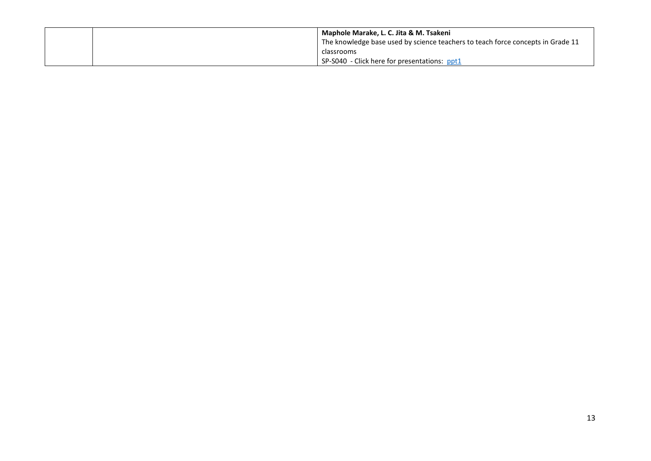|  | <b>Naphole Marake, L. C. Jita &amp; M. Tsakeni</b>                              |
|--|---------------------------------------------------------------------------------|
|  | The knowledge base used by science teachers to teach force concepts in Grade 11 |
|  | classrooms                                                                      |
|  | SP-S040 - Click here for presentations: ppt1                                    |